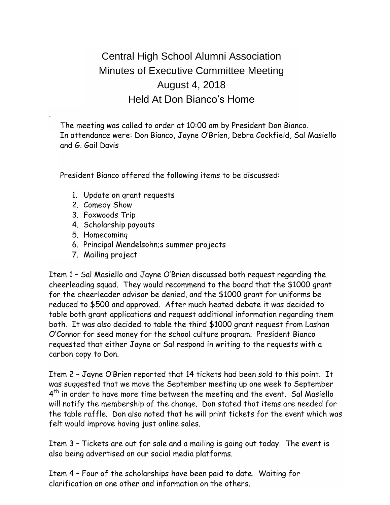## Central High School Alumni Association Minutes of Executive Committee Meeting August 4, 2018 Held At Don Bianco's Home

The meeting was called to order at 10:00 am by President Don Bianco. In attendance were: Don Bianco, Jayne O'Brien, Debra Cockfield, Sal Masiello and G. Gail Davis

President Bianco offered the following items to be discussed:

- 1. Update on grant requests
- 2. Comedy Show

.

- 3. Foxwoods Trip
- 4. Scholarship payouts
- 5. Homecoming
- 6. Principal Mendelsohn;s summer projects
- 7. Mailing project

Item 1 – Sal Masiello and Jayne O'Brien discussed both request regarding the cheerleading squad. They would recommend to the board that the \$1000 grant for the cheerleader advisor be denied, and the \$1000 grant for uniforms be reduced to \$500 and approved. After much heated debate it was decided to table both grant applications and request additional information regarding them both. It was also decided to table the third \$1000 grant request from Lashan O'Connor for seed money for the school culture program. President Bianco requested that either Jayne or Sal respond in writing to the requests with a carbon copy to Don.

Item 2 – Jayne O'Brien reported that 14 tickets had been sold to this point. It was suggested that we move the September meeting up one week to September 4<sup>th</sup> in order to have more time between the meeting and the event. Sal Masiello will notify the membership of the change. Don stated that items are needed for the table raffle. Don also noted that he will print tickets for the event which was felt would improve having just online sales.

Item 3 – Tickets are out for sale and a mailing is going out today. The event is also being advertised on our social media platforms.

Item 4 – Four of the scholarships have been paid to date. Waiting for clarification on one other and information on the others.